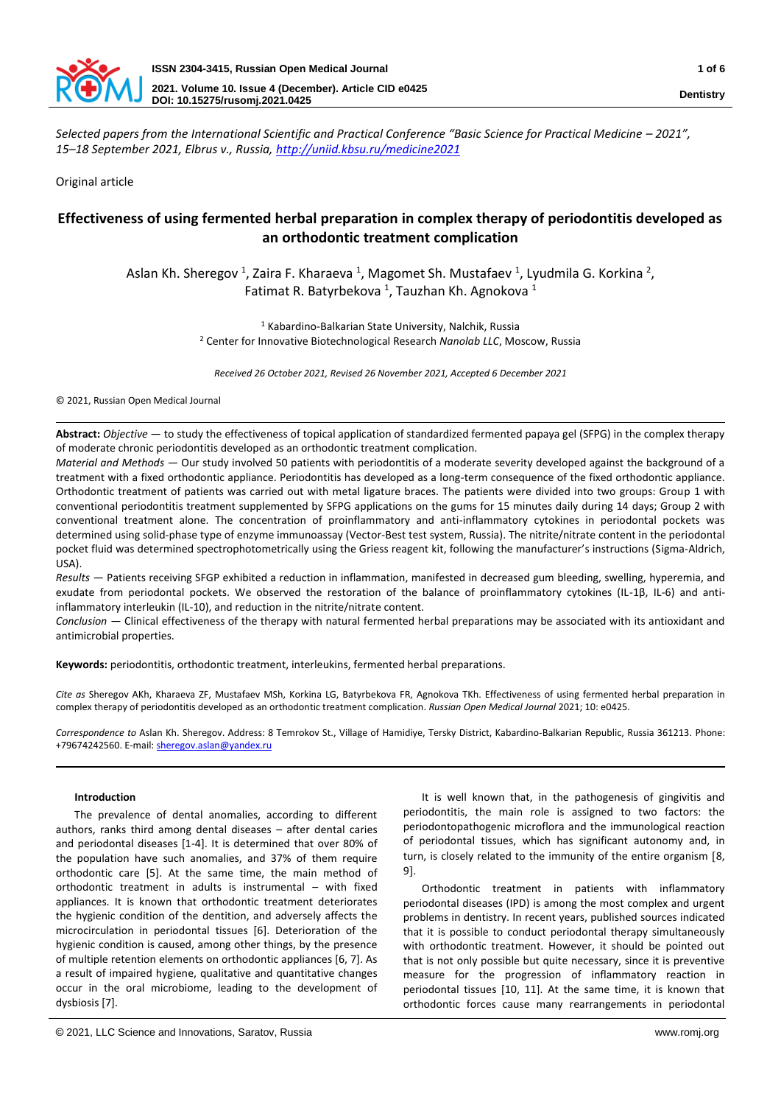

*Selected papers from the International Scientific and Practical Conference "Basic Science for Practical Medicine – 2021", 15–18 September 2021, Elbrus v., Russia[, http://uniid.kbsu.ru/medicine2021](http://uniid.kbsu.ru/medicine2021)*

Original article

# **Effectiveness of using fermented herbal preparation in complex therapy of periodontitis developed as an orthodontic treatment complication**

Aslan Kh. Sheregov<sup>1</sup>, Zaira F. Kharaeva<sup>1</sup>, Magomet Sh. Mustafaev<sup>1</sup>, Lyudmila G. Korkina<sup>2</sup>, Fatimat R. Batyrbekova<sup>1</sup>, Tauzhan Kh. Agnokova<sup>1</sup>

> <sup>1</sup> Kabardino-Balkarian State University, Nalchik, Russia <sup>2</sup> Center for Innovative Biotechnological Research *Nanolab LLC*, Moscow, Russia

*Received 26 October 2021, Revised 26 November 2021, Accepted 6 December 2021*

© 2021, Russian Open Medical Journal

**Abstract:** *Objective —* to study the effectiveness of topical application of standardized fermented papaya gel (SFPG) in the complex therapy of moderate chronic periodontitis developed as an orthodontic treatment complication.

*Material and Methods —* Our study involved 50 patients with periodontitis of a moderate severity developed against the background of a treatment with a fixed orthodontic appliance. Periodontitis has developed as a long-term consequence of the fixed orthodontic appliance. Orthodontic treatment of patients was carried out with metal ligature braces. The patients were divided into two groups: Group 1 with conventional periodontitis treatment supplemented by SFPG applications on the gums for 15 minutes daily during 14 days; Group 2 with conventional treatment alone. The concentration of proinflammatory and anti-inflammatory cytokines in periodontal pockets was determined using solid-phase type of enzyme immunoassay (Vector-Best test system, Russia). The nitrite/nitrate content in the periodontal pocket fluid was determined spectrophotometrically using the Griess reagent kit, following the manufacturer's instructions (Sigma-Aldrich, USA).

*Results —* Patients receiving SFGP exhibited a reduction in inflammation, manifested in decreased gum bleeding, swelling, hyperemia, and exudate from periodontal pockets. We observed the restoration of the balance of proinflammatory cytokines (IL-1β, IL-6) and antiinflammatory interleukin (IL-10), and reduction in the nitrite/nitrate content.

*Conclusion —* Clinical effectiveness of the therapy with natural fermented herbal preparations may be associated with its antioxidant and antimicrobial properties.

**Keywords:** periodontitis, orthodontic treatment, interleukins, fermented herbal preparations.

*Cite as* Sheregov AKh, Kharaeva ZF, Mustafaev MSh, Korkina LG, Batyrbekova FR, Agnokova TKh. Effectiveness of using fermented herbal preparation in complex therapy of periodontitis developed as an orthodontic treatment complication. *Russian Open Medical Journal* 2021; 10: e0425.

*Correspondence to* Aslan Kh. Sheregov. Address: 8 Temrokov St., Village of Hamidiye, Tersky District, Kabardino-Balkarian Republic, Russia 361213. Phone: +79674242560. E-mail[: sheregov.aslan@yandex.ru](mailto:sheregov.aslan@yandex.ru)

# **Introduction**

The prevalence of dental anomalies, according to different authors, ranks third among dental diseases – after dental caries and periodontal diseases [1-4]. It is determined that over 80% of the population have such anomalies, and 37% of them require orthodontic care [5]. At the same time, the main method of orthodontic treatment in adults is instrumental – with fixed appliances. It is known that orthodontic treatment deteriorates the hygienic condition of the dentition, and adversely affects the microcirculation in periodontal tissues [6]. Deterioration of the hygienic condition is caused, among other things, by the presence of multiple retention elements on orthodontic appliances [6, 7]. As a result of impaired hygiene, qualitative and quantitative changes occur in the oral microbiome, leading to the development of dysbiosis [7].

It is well known that, in the pathogenesis of gingivitis and periodontitis, the main role is assigned to two factors: the periodontopathogenic microflora and the immunological reaction of periodontal tissues, which has significant autonomy and, in turn, is closely related to the immunity of the entire organism [8, 9.

Orthodontic treatment in patients with inflammatory periodontal diseases (IPD) is among the most complex and urgent problems in dentistry. In recent years, published sources indicated that it is possible to conduct periodontal therapy simultaneously with orthodontic treatment. However, it should be pointed out that is not only possible but quite necessary, since it is preventive measure for the progression of inflammatory reaction in periodontal tissues [10, 11]. At the same time, it is known that orthodontic forces cause many rearrangements in periodontal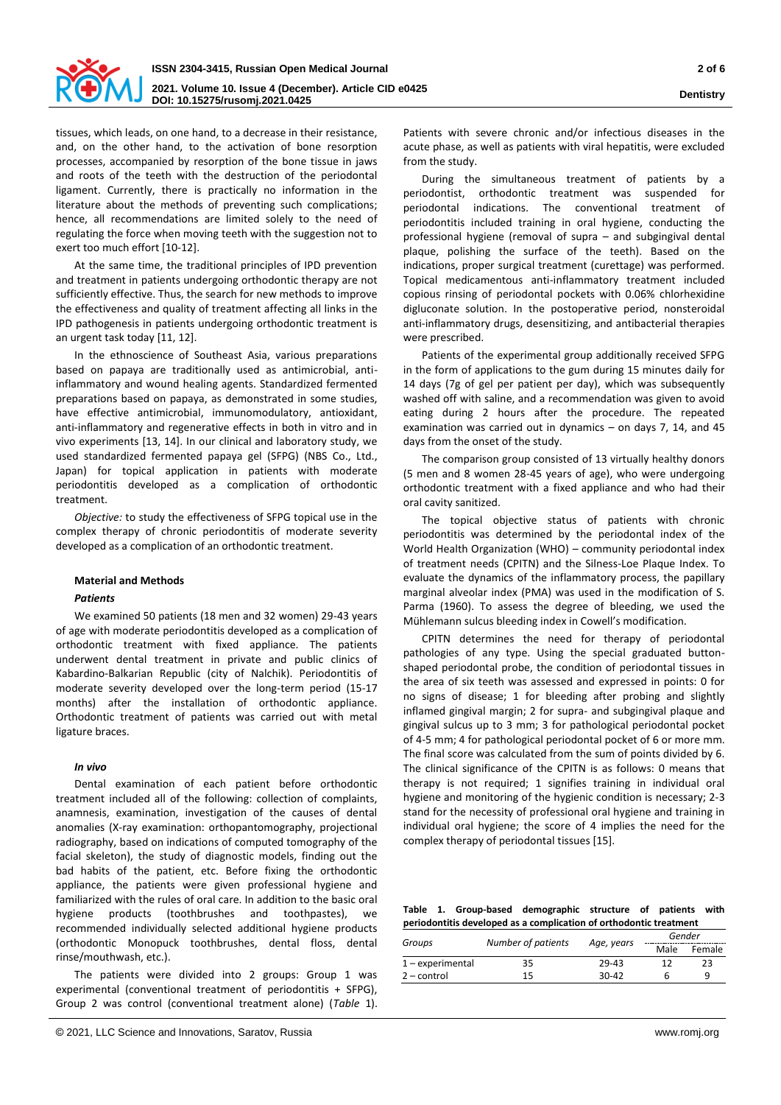

tissues, which leads, on one hand, to a decrease in their resistance, and, on the other hand, to the activation of bone resorption processes, accompanied by resorption of the bone tissue in jaws and roots of the teeth with the destruction of the periodontal ligament. Currently, there is practically no information in the literature about the methods of preventing such complications; hence, all recommendations are limited solely to the need of regulating the force when moving teeth with the suggestion not to exert too much effort [10-12].

At the same time, the traditional principles of IPD prevention and treatment in patients undergoing orthodontic therapy are not sufficiently effective. Thus, the search for new methods to improve the effectiveness and quality of treatment affecting all links in the IPD pathogenesis in patients undergoing orthodontic treatment is an urgent task today [11, 12].

In the ethnoscience of Southeast Asia, various preparations based on papaya are traditionally used as antimicrobial, antiinflammatory and wound healing agents. Standardized fermented preparations based on papaya, as demonstrated in some studies, have effective antimicrobial, immunomodulatory, antioxidant, anti-inflammatory and regenerative effects in both in vitro and in vivo experiments [13, 14]. In our clinical and laboratory study, we used standardized fermented papaya gel (SFPG) (NBS Co., Ltd., Japan) for topical application in patients with moderate periodontitis developed as a complication of orthodontic treatment.

*Objective:* to study the effectiveness of SFPG topical use in the complex therapy of chronic periodontitis of moderate severity developed as a complication of an orthodontic treatment.

## **Material and Methods**

## *Patients*

We examined 50 patients (18 men and 32 women) 29-43 years of age with moderate periodontitis developed as a complication of orthodontic treatment with fixed appliance. The patients underwent dental treatment in private and public clinics of Kabardino-Balkarian Republic (city of Nalchik). Periodontitis of moderate severity developed over the long-term period (15-17 months) after the installation of orthodontic appliance. Orthodontic treatment of patients was carried out with metal ligature braces.

# *In vivo*

Dental examination of each patient before orthodontic treatment included all of the following: collection of complaints, anamnesis, examination, investigation of the causes of dental anomalies (X-ray examination: orthopantomography, projectional radiography, based on indications of computed tomography of the facial skeleton), the study of diagnostic models, finding out the bad habits of the patient, etc. Before fixing the orthodontic appliance, the patients were given professional hygiene and familiarized with the rules of oral care. In addition to the basic oral hygiene products (toothbrushes and toothpastes), we recommended individually selected additional hygiene products (orthodontic Monopuck toothbrushes, dental floss, dental rinse/mouthwash, etc.).

The patients were divided into 2 groups: Group 1 was experimental (conventional treatment of periodontitis + SFPG), Group 2 was control (conventional treatment alone) (*Table* 1). Patients with severe chronic and/or infectious diseases in the acute phase, as well as patients with viral hepatitis, were excluded from the study.

During the simultaneous treatment of patients by a periodontist, orthodontic treatment was suspended for periodontal indications. The conventional treatment of periodontitis included training in oral hygiene, conducting the professional hygiene (removal of supra – and subgingival dental plaque, polishing the surface of the teeth). Based on the indications, proper surgical treatment (curettage) was performed. Topical medicamentous anti-inflammatory treatment included copious rinsing of periodontal pockets with 0.06% chlorhexidine digluconate solution. In the postoperative period, nonsteroidal anti-inflammatory drugs, desensitizing, and antibacterial therapies were prescribed.

Patients of the experimental group additionally received SFPG in the form of applications to the gum during 15 minutes daily for 14 days (7g of gel per patient per day), which was subsequently washed off with saline, and a recommendation was given to avoid eating during 2 hours after the procedure. The repeated examination was carried out in dynamics – on days 7, 14, and 45 days from the onset of the study.

The comparison group consisted of 13 virtually healthy donors (5 men and 8 women 28-45 years of age), who were undergoing orthodontic treatment with a fixed appliance and who had their oral cavity sanitized.

The topical objective status of patients with chronic periodontitis was determined by the periodontal index of the World Health Organization (WHO) – community periodontal index of treatment needs (CPITN) and the Silness-Loe Plaque Index. To evaluate the dynamics of the inflammatory process, the papillary marginal alveolar index (PMA) was used in the modification of S. Parma (1960). To assess the degree of bleeding, we used the Mühlemann sulcus bleeding index in Cowell's modification.

CPITN determines the need for therapy of periodontal pathologies of any type. Using the special graduated buttonshaped periodontal probe, the condition of periodontal tissues in the area of six teeth was assessed and expressed in points: 0 for no signs of disease; 1 for bleeding after probing and slightly inflamed gingival margin; 2 for supra- and subgingival plaque and gingival sulcus up to 3 mm; 3 for pathological periodontal pocket of 4-5 mm; 4 for pathological periodontal pocket of 6 or more mm. The final score was calculated from the sum of points divided by 6. The clinical significance of the CPITN is as follows: 0 means that therapy is not required; 1 signifies training in individual oral hygiene and monitoring of the hygienic condition is necessary; 2-3 stand for the necessity of professional oral hygiene and training in individual oral hygiene; the score of 4 implies the need for the complex therapy of periodontal tissues [15].

**Table 1. Group-based demographic structure of patients with periodontitis developed as a complication of orthodontic treatment**

| Groups             |                    |            | Gender |        |  |  |
|--------------------|--------------------|------------|--------|--------|--|--|
|                    | Number of patients | Age, years | Male   | Female |  |  |
| $1$ – experimental | 35                 | 29-43      | 17     | 23     |  |  |
| $2$ – control      | 15                 | $30-42$    |        | q      |  |  |
|                    |                    |            |        |        |  |  |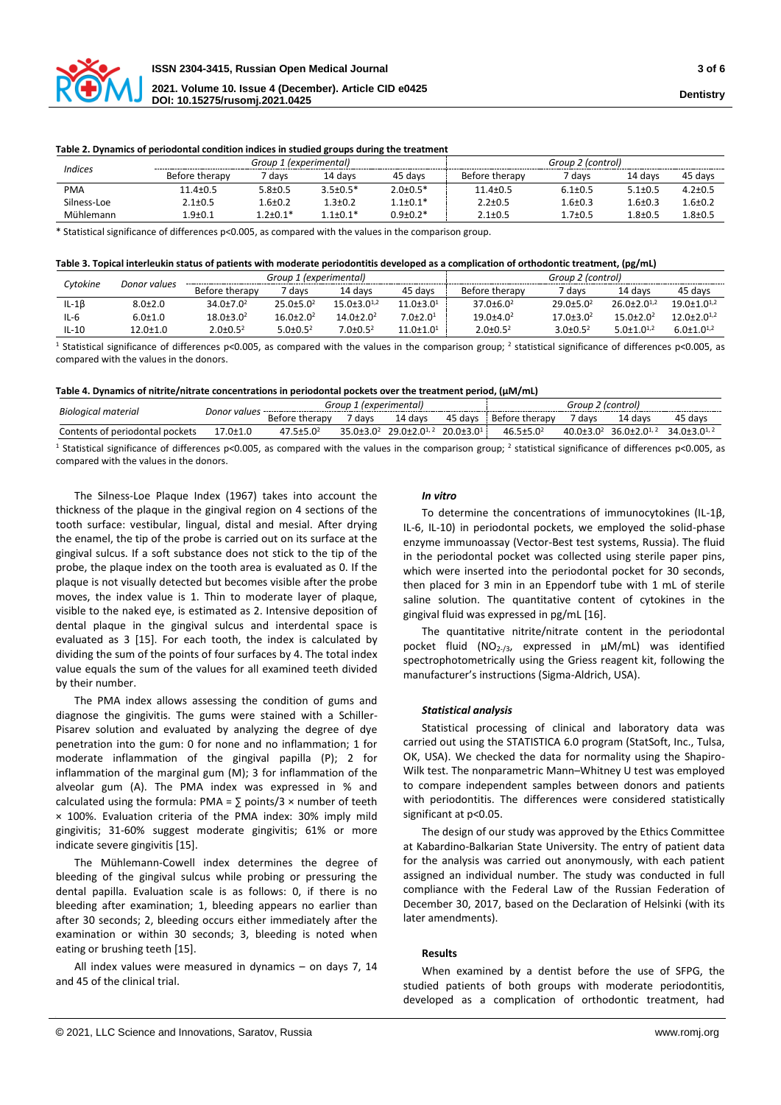

#### **Table 2. Dynamics of periodontal condition indices in studied groups during the treatment**

| <i><u><b>Indices</b></u></i> |                | Group 1 (experimental) |                |                 |                | Group 2 (control) |               |               |  |  |
|------------------------------|----------------|------------------------|----------------|-----------------|----------------|-------------------|---------------|---------------|--|--|
|                              | Before therapy | ' davs                 | 14 davs        | 45 davs         | Before therapy | 7 davs            | 14 davs       | 45 davs       |  |  |
| <b>PMA</b>                   | $11.4 \pm 0.5$ | $5.8 + 0.5$            | $3.5 \pm 0.5*$ | $2.0 \pm 0.5*$  | $11.4 \pm 0.5$ | $6.1 \pm 0.5$     | $5.1 \pm 0.5$ | $4.2 \pm 0.5$ |  |  |
| Silness-Loe                  | $2.1 \pm 0.5$  | l.6±0.2                | $1.3 \pm 0.2$  | $1.1 \pm 0.1^*$ | $2.2 \pm 0.5$  | 6±0.3             | 6±0.3         | $1.6 \pm 0.7$ |  |  |
| Mühlemann                    | l.9±0.1        | $.2 \pm 0.1*$          | 1 1+በ 1*       | $0.9{\pm}0.2*$  | $2.1 \pm 0.5$  | 1.7±0.5           | $1.8 \pm 0.5$ | 8±0.5         |  |  |

\* Statistical significance of differences p<0.005, as compared with the values in the comparison group.

| Table 3. Topical interleukin status of patients with moderate periodontitis developed as a complication of orthodontic treatment, (pg/mL) |  |  |  |
|-------------------------------------------------------------------------------------------------------------------------------------------|--|--|--|
|-------------------------------------------------------------------------------------------------------------------------------------------|--|--|--|

| Cvtokine<br>Donor values | Group 1 (experimental) |                  |                  |                    | Group 2 (control)  |                  |                  |                               |                             |
|--------------------------|------------------------|------------------|------------------|--------------------|--------------------|------------------|------------------|-------------------------------|-----------------------------|
|                          |                        | Before therapy   | 7 davs           | 14 davs            | 45 days            | Before therapy   | 7 davs           | 14 davs                       | 45 davs                     |
| $IL-1\beta$              | $8.0{\pm}2.0$          | $34.0 \pm 7.0^2$ | $25.0 \pm 5.0^2$ | $15.0 + 3.0^{1,2}$ | $11.0 \pm 3.0^1$   | $37.0 \pm 6.0^2$ | $29.0 \pm 5.0^2$ | $26.0 \pm 2.0$ <sup>1,2</sup> | $19.0 + 1.0$ <sup>1,2</sup> |
| $IL-6$                   | $6.0 \pm 1.0$          | $18.0 \pm 3.0^2$ | $16.0 \pm 2.0^2$ | $14.0 \pm 2.0^2$   | $7.0{\pm}2.0^1$    | $19.0 \pm 4.0^2$ | $17.0 \pm 3.0^2$ | $15.0 \pm 2.0^2$              | $12.0 + 2.0$ <sup>1,2</sup> |
| $IL-10$                  | $2.0 \pm 1.0$          | $2.0 \pm 0.5^2$  | $5.0 \pm 0.5^2$  | $7.0 \pm 0.5^2$    | $11.0{\pm}1.0^{1}$ | $2.0 \pm 0.5^2$  | $3.0 \pm 0.5^2$  | $5.0 + 1.0^{1,2}$             | $6.0 \pm 1.0^{1,2}$         |

<sup>1</sup> Statistical significance of differences p<0.005, as compared with the values in the comparison group; <sup>2</sup> statistical significance of differences p<0.005, as compared with the values in the donors.

**Table 4. Dynamics of nitrite/nitrate concentrations in periodontal pockets over the treatment period, (μM/mL)**

| Biological material             | Donor values | Group<br>(experimental) |          |                                     |                       | ' (control,<br>Group |                |                          |                              |
|---------------------------------|--------------|-------------------------|----------|-------------------------------------|-----------------------|----------------------|----------------|--------------------------|------------------------------|
|                                 |              | Before ti<br>therapy    | davs     | 14 days                             | 45 days               | Before therapy       | davs           | 14 davs                  | 45 days                      |
| Contents of periodontal pockets | 7.0±1.0      | 17 E+5 N2               | $25.0+3$ | $29.0 + 2.5$<br>$\bigcap_{i=1}^{n}$ | ንበ በ+3 በ <sup>1</sup> | $46.5 \pm 5.0^2$     | 40.0 $\pm$ 3.0 | $\bigcap_{i}$ .<br>. በ+ን | $34.0 \pm 3.0$ <sup>1,</sup> |

<sup>1</sup> Statistical significance of differences p<0.005, as compared with the values in the comparison group; <sup>2</sup> statistical significance of differences p<0.005, as compared with the values in the donors.

The Silness-Loe Plaque Index (1967) takes into account the thickness of the plaque in the gingival region on 4 sections of the tooth surface: vestibular, lingual, distal and mesial. After drying the enamel, the tip of the probe is carried out on its surface at the gingival sulcus. If a soft substance does not stick to the tip of the probe, the plaque index on the tooth area is evaluated as 0. If the plaque is not visually detected but becomes visible after the probe moves, the index value is 1. Thin to moderate layer of plaque, visible to the naked eye, is estimated as 2. Intensive deposition of dental plaque in the gingival sulcus and interdental space is evaluated as 3 [15]. For each tooth, the index is calculated by dividing the sum of the points of four surfaces by 4. The total index value equals the sum of the values for all examined teeth divided by their number.

The PMA index allows assessing the condition of gums and diagnose the gingivitis. The gums were stained with a Schiller-Pisarev solution and evaluated by analyzing the degree of dye penetration into the gum: 0 for none and no inflammation; 1 for moderate inflammation of the gingival papilla (P); 2 for inflammation of the marginal gum (M); 3 for inflammation of the alveolar gum (A). The PMA index was expressed in % and calculated using the formula: PMA =  $\Sigma$  points/3 × number of teeth × 100%. Evaluation criteria of the PMA index: 30% imply mild gingivitis; 31-60% suggest moderate gingivitis; 61% or more indicate severe gingivitis [15].

The Mühlemann-Cowell index determines the degree of bleeding of the gingival sulcus while probing or pressuring the dental papilla. Evaluation scale is as follows: 0, if there is no bleeding after examination; 1, bleeding appears no earlier than after 30 seconds; 2, bleeding occurs either immediately after the examination or within 30 seconds; 3, bleeding is noted when eating or brushing teeth [15].

All index values were measured in dynamics – on days 7, 14 and 45 of the clinical trial.

## *In vitro*

To determine the concentrations of immunocytokines (IL-1β, IL-6, IL-10) in periodontal pockets, we employed the solid-phase enzyme immunoassay (Vector-Best test systems, Russia). The fluid in the periodontal pocket was collected using sterile paper pins, which were inserted into the periodontal pocket for 30 seconds, then placed for 3 min in an Eppendorf tube with 1 mL of sterile saline solution. The quantitative content of cytokines in the gingival fluid was expressed in pg/mL [16].

The quantitative nitrite/nitrate content in the periodontal pocket fluid (NO<sub>2-/3</sub>, expressed in  $\mu$ M/mL) was identified spectrophotometrically using the Griess reagent kit, following the manufacturer's instructions (Sigma-Aldrich, USA).

#### *Statistical analysis*

Statistical processing of clinical and laboratory data was carried out using the STATISTICA 6.0 program (StatSoft, Inc., Tulsa, OK, USA). We checked the data for normality using the Shapiro-Wilk test. The nonparametric Mann–Whitney U test was employed to compare independent samples between donors and patients with periodontitis. The differences were considered statistically significant at p<0.05.

The design of our study was approved by the Ethics Committee at Kabardino-Balkarian State University. The entry of patient data for the analysis was carried out anonymously, with each patient assigned an individual number. The study was conducted in full compliance with the Federal Law of the Russian Federation of December 30, 2017, based on the Declaration of Helsinki (with its later amendments).

## **Results**

When examined by a dentist before the use of SFPG, the studied patients of both groups with moderate periodontitis, developed as a complication of orthodontic treatment, had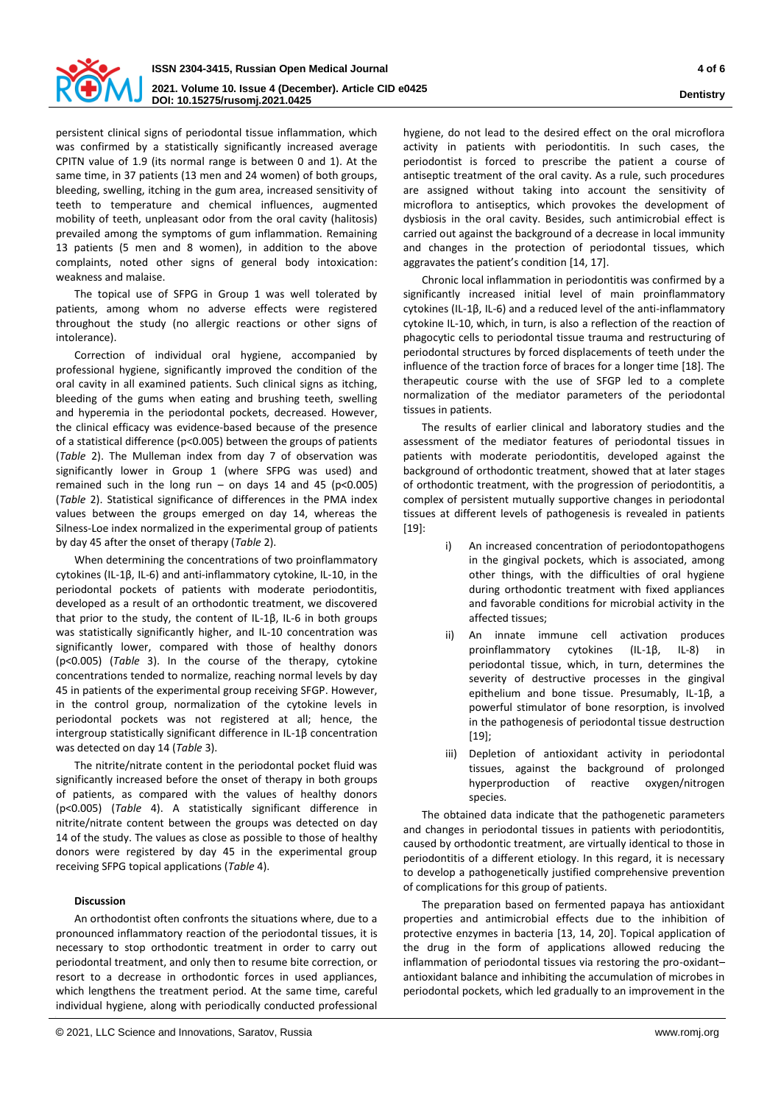

persistent clinical signs of periodontal tissue inflammation, which was confirmed by a statistically significantly increased average CPITN value of 1.9 (its normal range is between 0 and 1). At the same time, in 37 patients (13 men and 24 women) of both groups, bleeding, swelling, itching in the gum area, increased sensitivity of teeth to temperature and chemical influences, augmented mobility of teeth, unpleasant odor from the oral cavity (halitosis) prevailed among the symptoms of gum inflammation. Remaining 13 patients (5 men and 8 women), in addition to the above complaints, noted other signs of general body intoxication: weakness and malaise.

The topical use of SFPG in Group 1 was well tolerated by patients, among whom no adverse effects were registered throughout the study (no allergic reactions or other signs of intolerance).

Correction of individual oral hygiene, accompanied by professional hygiene, significantly improved the condition of the oral cavity in all examined patients. Such clinical signs as itching, bleeding of the gums when eating and brushing teeth, swelling and hyperemia in the periodontal pockets, decreased. However, the clinical efficacy was evidence-based because of the presence of a statistical difference (p<0.005) between the groups of patients (*Table* 2). The Mulleman index from day 7 of observation was significantly lower in Group 1 (where SFPG was used) and remained such in the long run – on days 14 and 45 ( $p < 0.005$ ) (*Table* 2). Statistical significance of differences in the PMA index values between the groups emerged on day 14, whereas the Silness-Loe index normalized in the experimental group of patients by day 45 after the onset of therapy (*Table* 2).

When determining the concentrations of two proinflammatory cytokines (IL-1β, IL-6) and anti-inflammatory cytokine, IL-10, in the periodontal pockets of patients with moderate periodontitis, developed as a result of an orthodontic treatment, we discovered that prior to the study, the content of IL-1β, IL-6 in both groups was statistically significantly higher, and IL-10 concentration was significantly lower, compared with those of healthy donors (p<0.005) (*Table* 3). In the course of the therapy, cytokine concentrations tended to normalize, reaching normal levels by day 45 in patients of the experimental group receiving SFGP. However, in the control group, normalization of the cytokine levels in periodontal pockets was not registered at all; hence, the intergroup statistically significant difference in IL-1β concentration was detected on day 14 (*Table* 3).

The nitrite/nitrate content in the periodontal pocket fluid was significantly increased before the onset of therapy in both groups of patients, as compared with the values of healthy donors (p<0.005) (*Table* 4). A statistically significant difference in nitrite/nitrate content between the groups was detected on day 14 of the study. The values as close as possible to those of healthy donors were registered by day 45 in the experimental group receiving SFPG topical applications (*Table* 4).

# **Discussion**

An orthodontist often confronts the situations where, due to a pronounced inflammatory reaction of the periodontal tissues, it is necessary to stop orthodontic treatment in order to carry out periodontal treatment, and only then to resume bite correction, or resort to a decrease in orthodontic forces in used appliances, which lengthens the treatment period. At the same time, careful individual hygiene, along with periodically conducted professional

© 2021, LLC Science and Innovations, Saratov, Russia www.romj.org

hygiene, do not lead to the desired effect on the oral microflora activity in patients with periodontitis. In such cases, the periodontist is forced to prescribe the patient a course of antiseptic treatment of the oral cavity. As a rule, such procedures are assigned without taking into account the sensitivity of microflora to antiseptics, which provokes the development of dysbiosis in the oral cavity. Besides, such antimicrobial effect is carried out against the background of a decrease in local immunity and changes in the protection of periodontal tissues, which aggravates the patient's condition [14, 17].

Chronic local inflammation in periodontitis was confirmed by a significantly increased initial level of main proinflammatory cytokines (IL-1β, IL-6) and a reduced level of the anti-inflammatory cytokine IL-10, which, in turn, is also a reflection of the reaction of phagocytic cells to periodontal tissue trauma and restructuring of periodontal structures by forced displacements of teeth under the influence of the traction force of braces for a longer time [18]. The therapeutic course with the use of SFGP led to a complete normalization of the mediator parameters of the periodontal tissues in patients.

The results of earlier clinical and laboratory studies and the assessment of the mediator features of periodontal tissues in patients with moderate periodontitis, developed against the background of orthodontic treatment, showed that at later stages of orthodontic treatment, with the progression of periodontitis, a complex of persistent mutually supportive changes in periodontal tissues at different levels of pathogenesis is revealed in patients  $[19]$ :

- i) An increased concentration of periodontopathogens in the gingival pockets, which is associated, among other things, with the difficulties of oral hygiene during orthodontic treatment with fixed appliances and favorable conditions for microbial activity in the affected tissues;
- ii) An innate immune cell activation produces proinflammatory cytokines (IL-1β, IL-8) in periodontal tissue, which, in turn, determines the severity of destructive processes in the gingival epithelium and bone tissue. Presumably, IL-1β, a powerful stimulator of bone resorption, is involved in the pathogenesis of periodontal tissue destruction [19];
- iii) Depletion of antioxidant activity in periodontal tissues, against the background of prolonged hyperproduction of reactive oxygen/nitrogen species.

The obtained data indicate that the pathogenetic parameters and changes in periodontal tissues in patients with periodontitis, caused by orthodontic treatment, are virtually identical to those in periodontitis of a different etiology. In this regard, it is necessary to develop a pathogenetically justified comprehensive prevention of complications for this group of patients.

The preparation based on fermented papaya has antioxidant properties and antimicrobial effects due to the inhibition of protective enzymes in bacteria [13, 14, 20]. Topical application of the drug in the form of applications allowed reducing the inflammation of periodontal tissues via restoring the pro-oxidant– antioxidant balance and inhibiting the accumulation of microbes in periodontal pockets, which led gradually to an improvement in the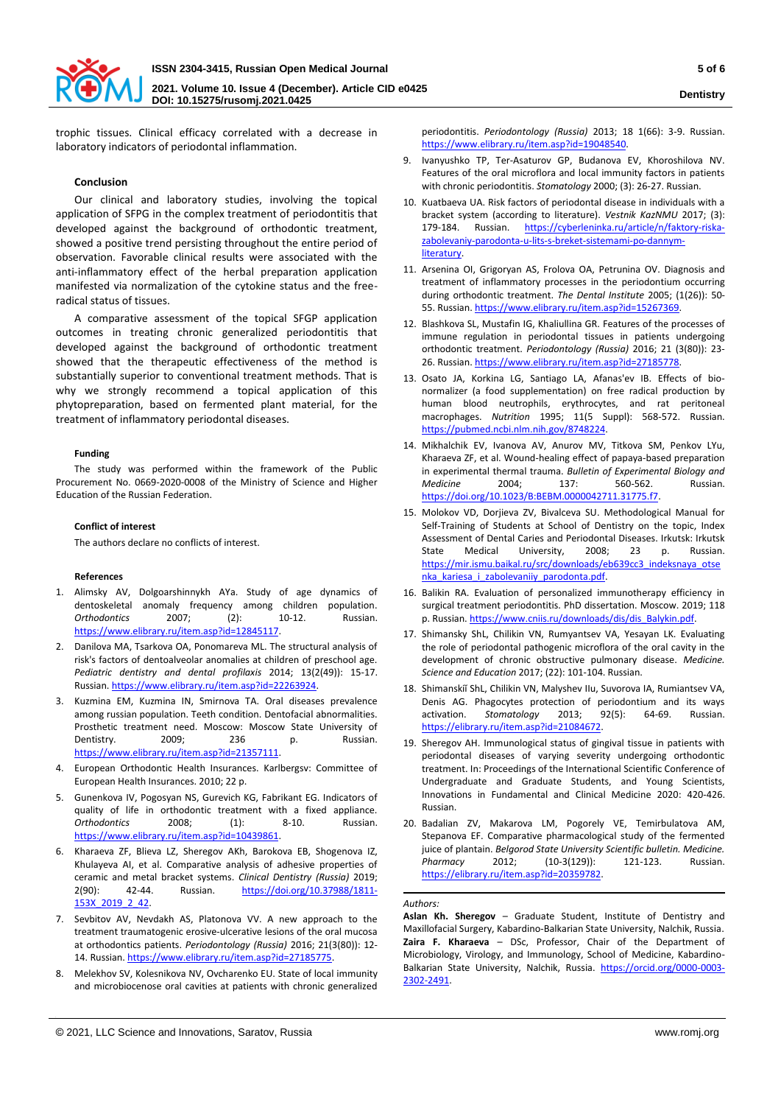

trophic tissues. Clinical efficacy correlated with a decrease in laboratory indicators of periodontal inflammation.

## **Conclusion**

Our clinical and laboratory studies, involving the topical application of SFPG in the complex treatment of periodontitis that developed against the background of orthodontic treatment, showed a positive trend persisting throughout the entire period of observation. Favorable clinical results were associated with the anti-inflammatory effect of the herbal preparation application manifested via normalization of the cytokine status and the freeradical status of tissues.

A comparative assessment of the topical SFGP application outcomes in treating chronic generalized periodontitis that developed against the background of orthodontic treatment showed that the therapeutic effectiveness of the method is substantially superior to conventional treatment methods. That is why we strongly recommend a topical application of this phytopreparation, based on fermented plant material, for the treatment of inflammatory periodontal diseases.

## **Funding**

The study was performed within the framework of the Public Procurement No. 0669-2020-0008 of the Ministry of Science and Higher Education of the Russian Federation.

## **Conflict of interest**

The authors declare no conflicts of interest.

#### **References**

- 1. Alimsky AV, Dolgoarshinnykh AYa. Study of age dynamics of dentoskeletal anomaly frequency among children population. *Orthodontics* 2007; (2): 10-12. Russian. [https://www.elibrary.ru/item.asp?id=12845117.](https://www.elibrary.ru/item.asp?id=12845117)
- 2. Danilova MA, Tsarkova OA, Ponomareva ML. The structural analysis of risk's factors of dentoalveolar anomalies at children of preschool age. *Pediatric dentistry and dental profilaxis* 2014; 13(2(49)): 15-17. Russian[. https://www.elibrary.ru/item.asp?id=22263924.](https://www.elibrary.ru/item.asp?id=22263924)
- 3. Kuzmina EM, Kuzmina IN, Smirnova TA. Oral diseases prevalence among russian population. Teeth condition. Dentofacial abnormalities. Prosthetic treatment need. Moscow: Moscow State University of<br>
Dentistry. 2009: 236 p. Russian. Dentistry. 2009; 236 p. Russian. [https://www.elibrary.ru/item.asp?id=21357111.](https://www.elibrary.ru/item.asp?id=21357111)
- 4. European Orthodontic Health Insurances. Karlbergsv: Committee of European Health Insurances. 2010; 22 p.
- 5. Gunenkova IV, Pogosyan NS, Gurevich KG, Fabrikant EG. Indicators of quality of life in orthodontic treatment with a fixed appliance. *Orthodontics* 2008; (1): 8-10. Russian. [https://www.elibrary.ru/item.asp?id=10439861.](https://www.elibrary.ru/item.asp?id=10439861)
- 6. Kharaeva ZF, Blieva LZ, Sheregov AKh, Barokova EB, Shogenova IZ, Khulayeva AI, et al. Comparative analysis of adhesive properties of ceramic and metal bracket systems. *Clinical Dentistry (Russia)* 2019; 2(90): 42-44. Russian. [https://doi.org/10.37988/1811-](https://doi.org/10.37988/1811-153X_2019_2_42) [153X\\_2019\\_2\\_42.](https://doi.org/10.37988/1811-153X_2019_2_42)
- 7. Sevbitov AV, Nevdakh AS, Platonova VV. A new approach to the treatment traumatogenic erosive-ulcerative lesions of the oral mucosa at orthodontics patients. *Periodontology (Russia)* 2016; 21(3(80)): 12- 14. Russian[. https://www.elibrary.ru/item.asp?id=27185775.](https://www.elibrary.ru/item.asp?id=27185775)
- 8. Melekhov SV, Kolesnikova NV, Ovcharenko EU. State of local immunity and microbiocenose oral cavities at patients with chronic generalized

periodontitis. *Periodontology (Russia)* 2013; 18 1(66): 3-9. Russian. [https://www.elibrary.ru/item.asp?id=19048540.](https://www.elibrary.ru/item.asp?id=19048540)

- 9. Ivanyushko TP, Ter-Asaturov GP, Budanova EV, Khoroshilova NV. Features of the oral microflora and local immunity factors in patients with chronic periodontitis. *Stomatology* 2000; (3): 26-27. Russian.
- 10. Kuatbaeva UA. Risk factors of periodontal disease in individuals with a bracket system (according to literature). *Vestnik KazNMU* 2017; (3): 179-184. Russian. [https://cyberleninka.ru/article/n/faktory-riska](https://cyberleninka.ru/article/n/faktory-riska-zabolevaniy-parodonta-u-lits-s-breket-sistemami-po-dannym-literatury)[zabolevaniy-parodonta-u-lits-s-breket-sistemami-po-dannym](https://cyberleninka.ru/article/n/faktory-riska-zabolevaniy-parodonta-u-lits-s-breket-sistemami-po-dannym-literatury)[literatury.](https://cyberleninka.ru/article/n/faktory-riska-zabolevaniy-parodonta-u-lits-s-breket-sistemami-po-dannym-literatury)
- 11. Arsenina OI, Grigoryan AS, Frolova OA, Petrunina OV. Diagnosis and treatment of inflammatory processes in the periodontium occurring during orthodontic treatment. *The Dental Institute* 2005; (1(26)): 50- 55. Russian. [https://www.elibrary.ru/item.asp?id=15267369.](https://www.elibrary.ru/item.asp?id=15267369)
- 12. Blashkova SL, Mustafin IG, Khaliullina GR. Features of the processes of immune regulation in periodontal tissues in patients undergoing orthodontic treatment. *Periodontology (Russia)* 2016; 21 (3(80)): 23- 26. Russian[. https://www.elibrary.ru/item.asp?id=27185778.](https://www.elibrary.ru/item.asp?id=27185778)
- 13. Osato JA, Korkina LG, Santiago LA, Afanas'ev IB. Effects of bionormalizer (a food supplementation) on free radical production by human blood neutrophils, erythrocytes, and rat peritoneal macrophages. *Nutrition* 1995; 11(5 Suppl): 568-572. Russian. [https://pubmed.ncbi.nlm.nih.gov/8748224.](https://pubmed.ncbi.nlm.nih.gov/8748224)
- 14. Mikhalchik EV, Ivanova AV, Anurov MV, Titkova SM, Penkov LYu, Kharaeva ZF, et al. Wound-healing effect of papaya-based preparation in experimental thermal trauma. *Bulletin of Experimental Biology and Medicine* 2004; 137: 560-562. Russian. [https://doi.org/10.1023/B:BEBM.0000042711.31775.f7.](https://doi.org/10.1023/B:BEBM.0000042711.31775.f7)
- 15. Molokov VD, Dorjieva ZV, Bivalceva SU. Methodological Manual for Self-Training of Students at School of Dentistry on the topic, Index Assessment of Dental Caries and Periodontal Diseases. Irkutsk: Irkutsk State Medical University, 2008; 23 p. Russian. [https://mir.ismu.baikal.ru/src/downloads/eb639cc3\\_indeksnaya\\_otse](https://mir.ismu.baikal.ru/src/downloads/eb639cc3_indeksnaya_otsenka_kariesa_i_zabolevaniiy_parodonta.pdf) nka kariesa i zabolevaniiy parodonta.pdf.
- 16. Balikin RA. Evaluation of personalized immunotherapy efficiency in surgical treatment periodontitis. PhD dissertation. Moscow. 2019; 118 p. Russian[. https://www.cniis.ru/downloads/dis/dis\\_Balykin.pdf.](https://www.cniis.ru/downloads/dis/dis_Balykin.pdf)
- 17. Shimansky ShL, Chilikin VN, Rumyantsev VA, Yesayan LK. Evaluating the role of periodontal pathogenic microflora of the oral cavity in the development of chronic obstructive pulmonary disease. *Medicine. Science and Education* 2017; (22): 101-104. Russian.
- 18. Shimanskiĭ ShL, Chilikin VN, Malyshev IIu, Suvorova IA, Rumiantsev VA, Denis AG. Phagocytes protection of periodontium and its ways<br>activation. Stomatology 2013; 92(5): 64-69. Russian. activation. *Stomatology* 2013; 92(5): 64-69. Russian. [https://elibrary.ru/item.asp?id=21084672.](https://elibrary.ru/item.asp?id=21084672)
- 19. Sheregov AH. Immunological status of gingival tissue in patients with periodontal diseases of varying severity undergoing orthodontic treatment. In: Proceedings of the International Scientific Conference of Undergraduate and Graduate Students, and Young Scientists, Innovations in Fundamental and Clinical Medicine 2020: 420-426. Russian.
- 20. Badalian ZV, Makarova LM, Pogorely VE, Temirbulatova AM, Stepanova EF. Comparative pharmacological study of the fermented juice of plantain. *Belgorod State University Scientific bulletin. Medicine. Pharmacy* 2012; (10-3(129)): 121-123. Russian. [https://elibrary.ru/item.asp?id=20359782.](https://elibrary.ru/item.asp?id=20359782)

#### *Authors:*

**Aslan Kh. Sheregov** – Graduate Student, Institute of Dentistry and Maxillofacial Surgery, Kabardino-Balkarian State University, Nalchik, Russia. **Zaira F. Kharaeva** – DSc, Professor, Chair of the Department of Microbiology, Virology, and Immunology, School of Medicine, KabardinoBalkarian State University, Nalchik, Russia. [https://orcid.org/0000-0003-](https://orcid.org/0000-0003-2302-2491) [2302-2491.](https://orcid.org/0000-0003-2302-2491)